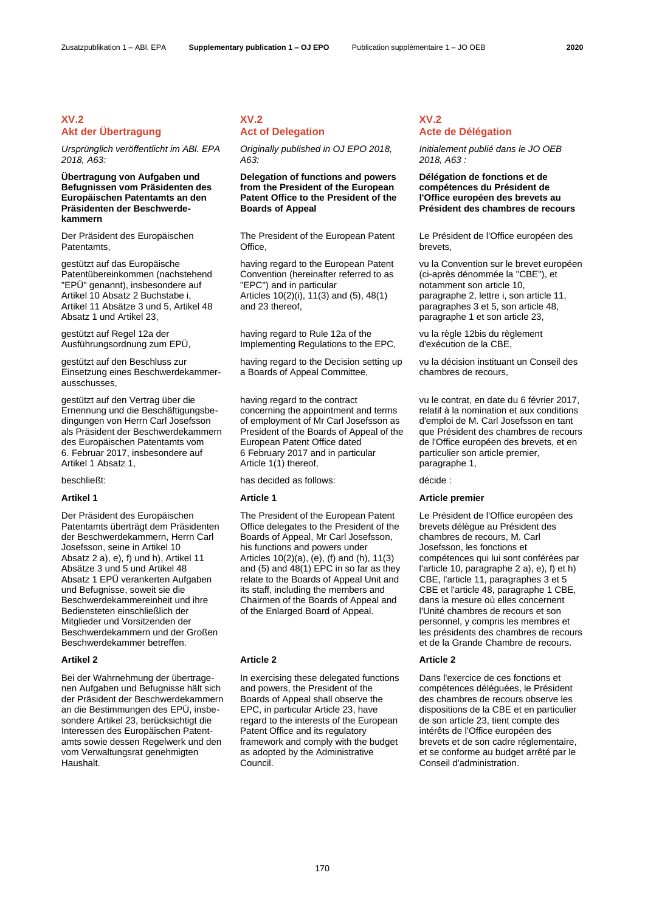# **XV.2 Akt der Übertragung**

*Ursprünglich veröffentlicht im ABl. EPA 2018, A63:*

## **Übertragung von Aufgaben und Befugnissen vom Präsidenten des Europäischen Patentamts an den Präsidenten der Beschwerdekammern**

Der Präsident des Europäischen Patentamts,

gestützt auf das Europäische Patentübereinkommen (nachstehend "EPÜ" genannt), insbesondere auf Artikel 10 Absatz 2 Buchstabe i, Artikel 11 Absätze 3 und 5, Artikel 48 Absatz 1 und Artikel 23,

gestützt auf Regel 12a der Ausführungsordnung zum EPÜ,

gestützt auf den Beschluss zur Einsetzung eines Beschwerdekammerausschusses,

gestützt auf den Vertrag über die Ernennung und die Beschäftigungsbedingungen von Herrn Carl Josefsson als Präsident der Beschwerdekammern des Europäischen Patentamts vom 6. Februar 2017, insbesondere auf Artikel 1 Absatz 1,

Der Präsident des Europäischen Patentamts überträgt dem Präsidenten der Beschwerdekammern, Herrn Carl Josefsson, seine in Artikel 10 Absatz 2 a), e), f) und h), Artikel 11 Absätze 3 und 5 und Artikel 48 Absatz 1 EPÜ verankerten Aufgaben und Befugnisse, soweit sie die Beschwerdekammereinheit und ihre Bediensteten einschließlich der Mitglieder und Vorsitzenden der Beschwerdekammern und der Großen Beschwerdekammer betreffen.

Bei der Wahrnehmung der übertragenen Aufgaben und Befugnisse hält sich der Präsident der Beschwerdekammern an die Bestimmungen des EPÜ, insbesondere Artikel 23, berücksichtigt die Interessen des Europäischen Patentamts sowie dessen Regelwerk und den vom Verwaltungsrat genehmigten Haushalt.

# **XV.2 Act of Delegation**

*Originally published in OJ EPO 2018, A63:*

**Delegation of functions and powers from the President of the European Patent Office to the President of the Boards of Appeal**

The President of the European Patent Office,

having regard to the European Patent Convention (hereinafter referred to as "EPC") and in particular Articles 10(2)(i), 11(3) and (5), 48(1) and 23 thereof,

having regard to Rule 12a of the Implementing Regulations to the EPC,

having regard to the Decision setting up a Boards of Appeal Committee,

having regard to the contract concerning the appointment and terms of employment of Mr Carl Josefsson as President of the Boards of Appeal of the European Patent Office dated 6 February 2017 and in particular Article 1(1) thereof,

beschließt: has decided as follows: décide :

The President of the European Patent Office delegates to the President of the Boards of Appeal, Mr Carl Josefsson, his functions and powers under Articles 10(2)(a), (e), (f) and (h), 11(3) and (5) and 48(1) EPC in so far as they relate to the Boards of Appeal Unit and its staff, including the members and Chairmen of the Boards of Appeal and of the Enlarged Board of Appeal.

## **Artikel 2 Article 2 Article 2**

In exercising these delegated functions and powers, the President of the Boards of Appeal shall observe the EPC, in particular Article 23, have regard to the interests of the European Patent Office and its regulatory framework and comply with the budget as adopted by the Administrative Council.

# **XV.2 Acte de Délégation**

*Initialement publié dans le JO OEB 2018, A63 :*

**Délégation de fonctions et de compétences du Président de l'Office européen des brevets au Président des chambres de recours**

Le Président de l'Office européen des brevets,

vu la Convention sur le brevet européen (ci-après dénommée la "CBE"), et notamment son article 10, paragraphe 2, lettre i, son article 11, paragraphes 3 et 5, son article 48, paragraphe 1 et son article 23,

vu la règle 12bis du règlement d'exécution de la CBE,

vu la décision instituant un Conseil des chambres de recours,

vu le contrat, en date du 6 février 2017, relatif à la nomination et aux conditions d'emploi de M. Carl Josefsson en tant que Président des chambres de recours de l'Office européen des brevets, et en particulier son article premier, paragraphe 1,

## **Artikel 1 Article 1 Article premier**

Le Président de l'Office européen des brevets délègue au Président des chambres de recours, M. Carl Josefsson, les fonctions et compétences qui lui sont conférées par l'article 10, paragraphe 2 a), e), f) et h) CBE, l'article 11, paragraphes 3 et 5 CBE et l'article 48, paragraphe 1 CBE, dans la mesure où elles concernent l'Unité chambres de recours et son personnel, y compris les membres et les présidents des chambres de recours et de la Grande Chambre de recours.

Dans l'exercice de ces fonctions et compétences déléguées, le Président des chambres de recours observe les dispositions de la CBE et en particulier de son article 23, tient compte des intérêts de l'Office européen des brevets et de son cadre réglementaire, et se conforme au budget arrêté par le Conseil d'administration.